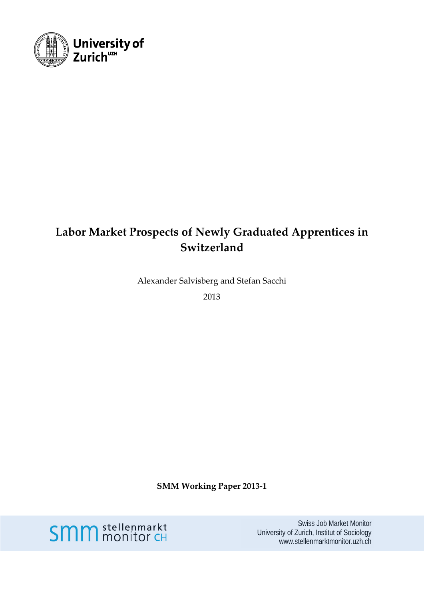

# **Labor Market Prospects of Newly Graduated Apprentices in Switzerland**

Alexander Salvisberg and Stefan Sacchi

2013

**SMM Working Paper 2013-1**



Swiss Job Market Monitor University of Zurich, Institut of Sociology www.stellenmarktmonitor.uzh.ch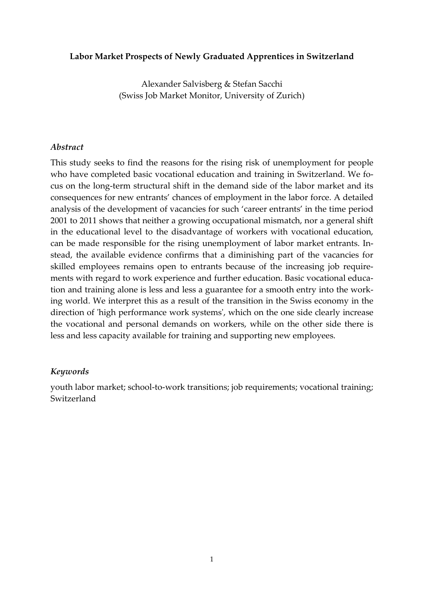#### **Labor Market Prospects of Newly Graduated Apprentices in Switzerland**

Alexander Salvisberg & Stefan Sacchi (Swiss Job Market Monitor, University of Zurich)

#### *Abstract*

This study seeks to find the reasons for the rising risk of unemployment for people who have completed basic vocational education and training in Switzerland. We focus on the long-term structural shift in the demand side of the labor market and its consequences for new entrants' chances of employment in the labor force. A detailed analysis of the development of vacancies for such 'career entrants' in the time period 2001 to 2011 shows that neither a growing occupational mismatch, nor a general shift in the educational level to the disadvantage of workers with vocational education, can be made responsible for the rising unemployment of labor market entrants. Instead, the available evidence confirms that a diminishing part of the vacancies for skilled employees remains open to entrants because of the increasing job requirements with regard to work experience and further education. Basic vocational education and training alone is less and less a guarantee for a smooth entry into the working world. We interpret this as a result of the transition in the Swiss economy in the direction of 'high performance work systems', which on the one side clearly increase the vocational and personal demands on workers, while on the other side there is less and less capacity available for training and supporting new employees.

### *Keywords*

youth labor market; school-to-work transitions; job requirements; vocational training; Switzerland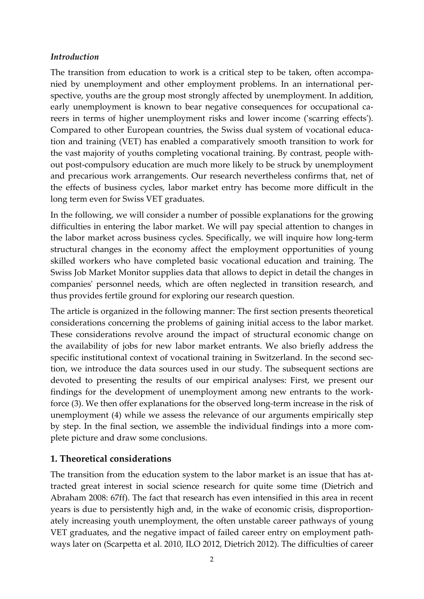#### *Introduction*

The transition from education to work is a critical step to be taken, often accompanied by unemployment and other employment problems. In an international perspective, youths are the group most strongly affected by unemployment. In addition, early unemployment is known to bear negative consequences for occupational careers in terms of higher unemployment risks and lower income ('scarring effects'). Compared to other European countries, the Swiss dual system of vocational education and training (VET) has enabled a comparatively smooth transition to work for the vast majority of youths completing vocational training. By contrast, people without post-compulsory education are much more likely to be struck by unemployment and precarious work arrangements. Our research nevertheless confirms that, net of the effects of business cycles, labor market entry has become more difficult in the long term even for Swiss VET graduates.

In the following, we will consider a number of possible explanations for the growing difficulties in entering the labor market. We will pay special attention to changes in the labor market across business cycles. Specifically, we will inquire how long-term structural changes in the economy affect the employment opportunities of young skilled workers who have completed basic vocational education and training. The Swiss Job Market Monitor supplies data that allows to depict in detail the changes in companies' personnel needs, which are often neglected in transition research, and thus provides fertile ground for exploring our research question.

The article is organized in the following manner: The first section presents theoretical considerations concerning the problems of gaining initial access to the labor market. These considerations revolve around the impact of structural economic change on the availability of jobs for new labor market entrants. We also briefly address the specific institutional context of vocational training in Switzerland. In the second section, we introduce the data sources used in our study. The subsequent sections are devoted to presenting the results of our empirical analyses: First, we present our findings for the development of unemployment among new entrants to the workforce (3). We then offer explanations for the observed long-term increase in the risk of unemployment (4) while we assess the relevance of our arguments empirically step by step. In the final section, we assemble the individual findings into a more complete picture and draw some conclusions.

### **1. Theoretical considerations**

The transition from the education system to the labor market is an issue that has attracted great interest in social science research for quite some time (Dietrich and Abraham 2008: 67ff). The fact that research has even intensified in this area in recent years is due to persistently high and, in the wake of economic crisis, disproportionately increasing youth unemployment, the often unstable career pathways of young VET graduates, and the negative impact of failed career entry on employment pathways later on (Scarpetta et al. 2010, ILO 2012, Dietrich 2012). The difficulties of career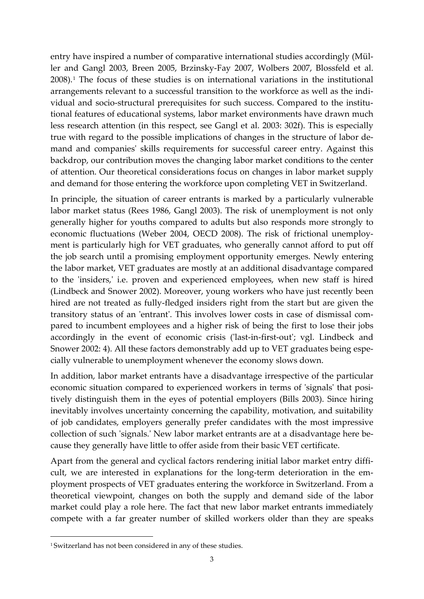entry have inspired a number of comparative international studies accordingly (Müller and Gangl 2003, Breen 2005, Brzinsky-Fay 2007, Wolbers 2007, Blossfeld et al. 2008).[1](#page-3-0) The focus of these studies is on international variations in the institutional arrangements relevant to a successful transition to the workforce as well as the individual and socio-structural prerequisites for such success. Compared to the institutional features of educational systems, labor market environments have drawn much less research attention (in this respect, see Gangl et al. 2003: 302f). This is especially true with regard to the possible implications of changes in the structure of labor demand and companies' skills requirements for successful career entry. Against this backdrop, our contribution moves the changing labor market conditions to the center of attention. Our theoretical considerations focus on changes in labor market supply and demand for those entering the workforce upon completing VET in Switzerland.

In principle, the situation of career entrants is marked by a particularly vulnerable labor market status (Rees 1986, Gangl 2003). The risk of unemployment is not only generally higher for youths compared to adults but also responds more strongly to economic fluctuations (Weber 2004, OECD 2008). The risk of frictional unemployment is particularly high for VET graduates, who generally cannot afford to put off the job search until a promising employment opportunity emerges. Newly entering the labor market, VET graduates are mostly at an additional disadvantage compared to the 'insiders,' i.e. proven and experienced employees, when new staff is hired (Lindbeck and Snower 2002). Moreover, young workers who have just recently been hired are not treated as fully-fledged insiders right from the start but are given the transitory status of an 'entrant'. This involves lower costs in case of dismissal compared to incumbent employees and a higher risk of being the first to lose their jobs accordingly in the event of economic crisis ('last-in-first-out'; vgl. Lindbeck and Snower 2002: 4). All these factors demonstrably add up to VET graduates being especially vulnerable to unemployment whenever the economy slows down.

In addition, labor market entrants have a disadvantage irrespective of the particular economic situation compared to experienced workers in terms of 'signals' that positively distinguish them in the eyes of potential employers (Bills 2003). Since hiring inevitably involves uncertainty concerning the capability, motivation, and suitability of job candidates, employers generally prefer candidates with the most impressive collection of such 'signals.' New labor market entrants are at a disadvantage here because they generally have little to offer aside from their basic VET certificate.

Apart from the general and cyclical factors rendering initial labor market entry difficult, we are interested in explanations for the long-term deterioration in the employment prospects of VET graduates entering the workforce in Switzerland. From a theoretical viewpoint, changes on both the supply and demand side of the labor market could play a role here. The fact that new labor market entrants immediately compete with a far greater number of skilled workers older than they are speaks

<span id="page-3-0"></span><sup>1</sup> Switzerland has not been considered in any of these studies.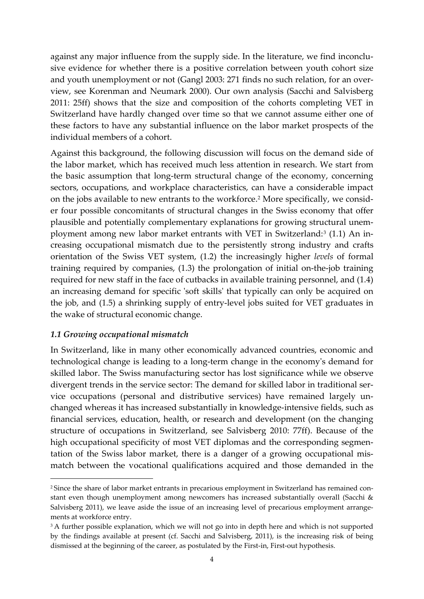against any major influence from the supply side. In the literature, we find inconclusive evidence for whether there is a positive correlation between youth cohort size and youth unemployment or not (Gangl 2003: 271 finds no such relation, for an overview, see Korenman and Neumark 2000). Our own analysis (Sacchi and Salvisberg 2011: 25ff) shows that the size and composition of the cohorts completing VET in Switzerland have hardly changed over time so that we cannot assume either one of these factors to have any substantial influence on the labor market prospects of the individual members of a cohort.

Against this background, the following discussion will focus on the demand side of the labor market, which has received much less attention in research. We start from the basic assumption that long-term structural change of the economy, concerning sectors, occupations, and workplace characteristics, can have a considerable impact on the jobs available to new entrants to the workforce.[2](#page-4-0) More specifically, we consider four possible concomitants of structural changes in the Swiss economy that offer plausible and potentially complementary explanations for growing structural unem-ployment among new labor market entrants with VET in Switzerland:<sup>[3](#page-4-1)</sup> (1.1) An increasing occupational mismatch due to the persistently strong industry and crafts orientation of the Swiss VET system, (1.2) the increasingly higher *levels* of formal training required by companies, (1.3) the prolongation of initial on-the-job training required for new staff in the face of cutbacks in available training personnel, and (1.4) an increasing demand for specific 'soft skills' that typically can only be acquired on the job, and (1.5) a shrinking supply of entry-level jobs suited for VET graduates in the wake of structural economic change.

#### *1.1 Growing occupational mismatch*

-

In Switzerland, like in many other economically advanced countries, economic and technological change is leading to a long-term change in the economy's demand for skilled labor. The Swiss manufacturing sector has lost significance while we observe divergent trends in the service sector: The demand for skilled labor in traditional service occupations (personal and distributive services) have remained largely unchanged whereas it has increased substantially in knowledge-intensive fields, such as financial services, education, health, or research and development (on the changing structure of occupations in Switzerland, see Salvisberg 2010: 77ff). Because of the high occupational specificity of most VET diplomas and the corresponding segmentation of the Swiss labor market, there is a danger of a growing occupational mismatch between the vocational qualifications acquired and those demanded in the

<span id="page-4-0"></span><sup>2</sup> Since the share of labor market entrants in precarious employment in Switzerland has remained constant even though unemployment among newcomers has increased substantially overall (Sacchi & Salvisberg 2011), we leave aside the issue of an increasing level of precarious employment arrangements at workforce entry.

<span id="page-4-1"></span><sup>&</sup>lt;sup>3</sup> A further possible explanation, which we will not go into in depth here and which is not supported by the findings available at present (cf. Sacchi and Salvisberg, 2011), is the increasing risk of being dismissed at the beginning of the career, as postulated by the First-in, First-out hypothesis.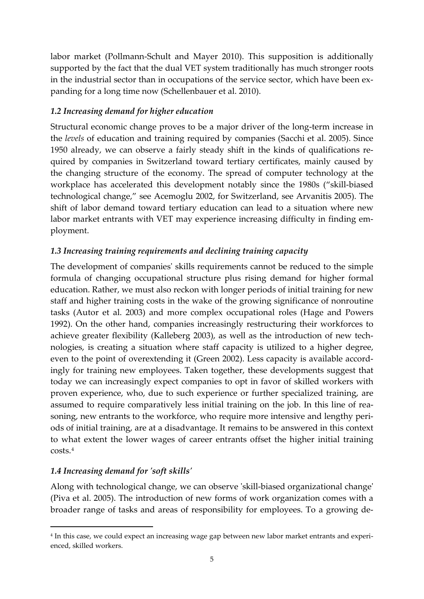labor market (Pollmann-Schult and Mayer 2010). This supposition is additionally supported by the fact that the dual VET system traditionally has much stronger roots in the industrial sector than in occupations of the service sector, which have been expanding for a long time now (Schellenbauer et al. 2010).

## *1.2 Increasing demand for higher education*

Structural economic change proves to be a major driver of the long-term increase in the *levels* of education and training required by companies (Sacchi et al. 2005). Since 1950 already, we can observe a fairly steady shift in the kinds of qualifications required by companies in Switzerland toward tertiary certificates, mainly caused by the changing structure of the economy. The spread of computer technology at the workplace has accelerated this development notably since the 1980s ("skill-biased technological change," see Acemoglu 2002, for Switzerland, see Arvanitis 2005). The shift of labor demand toward tertiary education can lead to a situation where new labor market entrants with VET may experience increasing difficulty in finding employment.

# *1.3 Increasing training requirements and declining training capacity*

The development of companies' skills requirements cannot be reduced to the simple formula of changing occupational structure plus rising demand for higher formal education. Rather, we must also reckon with longer periods of initial training for new staff and higher training costs in the wake of the growing significance of nonroutine tasks (Autor et al. 2003) and more complex occupational roles (Hage and Powers 1992). On the other hand, companies increasingly restructuring their workforces to achieve greater flexibility (Kalleberg 2003), as well as the introduction of new technologies, is creating a situation where staff capacity is utilized to a higher degree, even to the point of overextending it (Green 2002). Less capacity is available accordingly for training new employees. Taken together, these developments suggest that today we can increasingly expect companies to opt in favor of skilled workers with proven experience, who, due to such experience or further specialized training, are assumed to require comparatively less initial training on the job. In this line of reasoning, new entrants to the workforce, who require more intensive and lengthy periods of initial training, are at a disadvantage. It remains to be answered in this context to what extent the lower wages of career entrants offset the higher initial training costs.[4](#page-5-0)

# *1.4 Increasing demand for 'soft skills'*

-

Along with technological change, we can observe 'skill-biased organizational change' (Piva et al. 2005). The introduction of new forms of work organization comes with a broader range of tasks and areas of responsibility for employees. To a growing de-

<span id="page-5-0"></span><sup>4</sup> In this case, we could expect an increasing wage gap between new labor market entrants and experienced, skilled workers.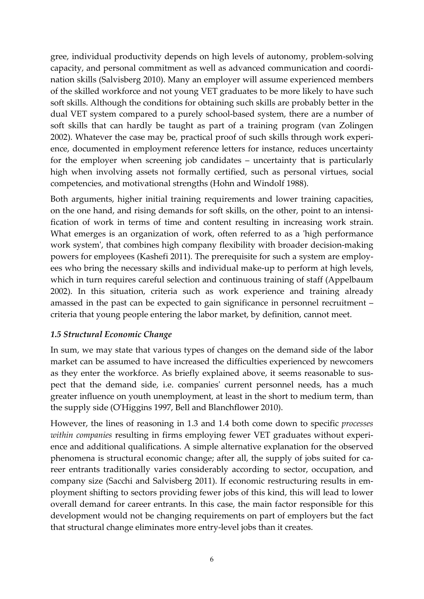gree, individual productivity depends on high levels of autonomy, problem-solving capacity, and personal commitment as well as advanced communication and coordination skills (Salvisberg 2010). Many an employer will assume experienced members of the skilled workforce and not young VET graduates to be more likely to have such soft skills. Although the conditions for obtaining such skills are probably better in the dual VET system compared to a purely school-based system, there are a number of soft skills that can hardly be taught as part of a training program (van Zolingen 2002). Whatever the case may be, practical proof of such skills through work experience, documented in employment reference letters for instance, reduces uncertainty for the employer when screening job candidates – uncertainty that is particularly high when involving assets not formally certified, such as personal virtues, social competencies, and motivational strengths (Hohn and Windolf 1988).

Both arguments, higher initial training requirements and lower training capacities, on the one hand, and rising demands for soft skills, on the other, point to an intensification of work in terms of time and content resulting in increasing work strain. What emerges is an organization of work, often referred to as a 'high performance work system', that combines high company flexibility with broader decision-making powers for employees (Kashefi 2011). The prerequisite for such a system are employees who bring the necessary skills and individual make-up to perform at high levels, which in turn requires careful selection and continuous training of staff (Appelbaum 2002). In this situation, criteria such as work experience and training already amassed in the past can be expected to gain significance in personnel recruitment – criteria that young people entering the labor market, by definition, cannot meet.

### *1.5 Structural Economic Change*

In sum, we may state that various types of changes on the demand side of the labor market can be assumed to have increased the difficulties experienced by newcomers as they enter the workforce. As briefly explained above, it seems reasonable to suspect that the demand side, i.e. companies' current personnel needs, has a much greater influence on youth unemployment, at least in the short to medium term, than the supply side (O'Higgins 1997, Bell and Blanchflower 2010).

However, the lines of reasoning in 1.3 and 1.4 both come down to specific *processes within companies* resulting in firms employing fewer VET graduates without experience and additional qualifications. A simple alternative explanation for the observed phenomena is structural economic change; after all, the supply of jobs suited for career entrants traditionally varies considerably according to sector, occupation, and company size (Sacchi and Salvisberg 2011). If economic restructuring results in employment shifting to sectors providing fewer jobs of this kind, this will lead to lower overall demand for career entrants. In this case, the main factor responsible for this development would not be changing requirements on part of employers but the fact that structural change eliminates more entry-level jobs than it creates.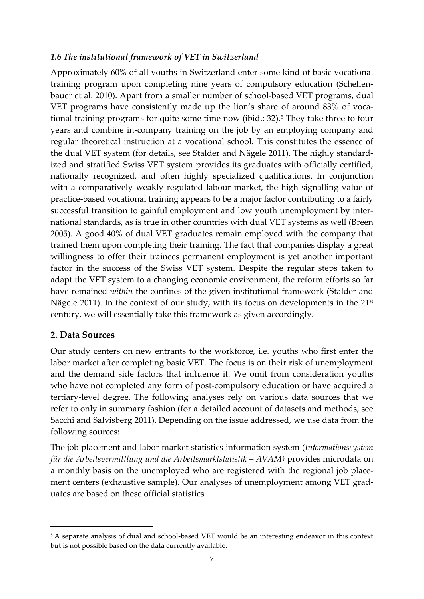## *1.6 The institutional framework of VET in Switzerland*

Approximately 60% of all youths in Switzerland enter some kind of basic vocational training program upon completing nine years of compulsory education (Schellenbauer et al. 2010). Apart from a smaller number of school-based VET programs, dual VET programs have consistently made up the lion's share of around 83% of vocational training programs for quite some time now (ibid.:  $32$ ).<sup>[5](#page-7-0)</sup> They take three to four years and combine in-company training on the job by an employing company and regular theoretical instruction at a vocational school. This constitutes the essence of the dual VET system (for details, see Stalder and Nägele 2011). The highly standardized and stratified Swiss VET system provides its graduates with officially certified, nationally recognized, and often highly specialized qualifications. In conjunction with a comparatively weakly regulated labour market, the high signalling value of practice-based vocational training appears to be a major factor contributing to a fairly successful transition to gainful employment and low youth unemployment by international standards, as is true in other countries with dual VET systems as well (Breen 2005). A good 40% of dual VET graduates remain employed with the company that trained them upon completing their training. The fact that companies display a great willingness to offer their trainees permanent employment is yet another important factor in the success of the Swiss VET system. Despite the regular steps taken to adapt the VET system to a changing economic environment, the reform efforts so far have remained *within* the confines of the given institutional framework (Stalder and Nägele 2011). In the context of our study, with its focus on developments in the 21<sup>st</sup> century, we will essentially take this framework as given accordingly.

# **2. Data Sources**

-

Our study centers on new entrants to the workforce, i.e. youths who first enter the labor market after completing basic VET. The focus is on their risk of unemployment and the demand side factors that influence it. We omit from consideration youths who have not completed any form of post-compulsory education or have acquired a tertiary-level degree. The following analyses rely on various data sources that we refer to only in summary fashion (for a detailed account of datasets and methods, see Sacchi and Salvisberg 2011). Depending on the issue addressed, we use data from the following sources:

The job placement and labor market statistics information system (*Informationssystem für die Arbeitsvermittlung und die Arbeitsmarktstatistik – AVAM)* provides microdata on a monthly basis on the unemployed who are registered with the regional job placement centers (exhaustive sample). Our analyses of unemployment among VET graduates are based on these official statistics.

<span id="page-7-0"></span><sup>5</sup> A separate analysis of dual and school-based VET would be an interesting endeavor in this context but is not possible based on the data currently available.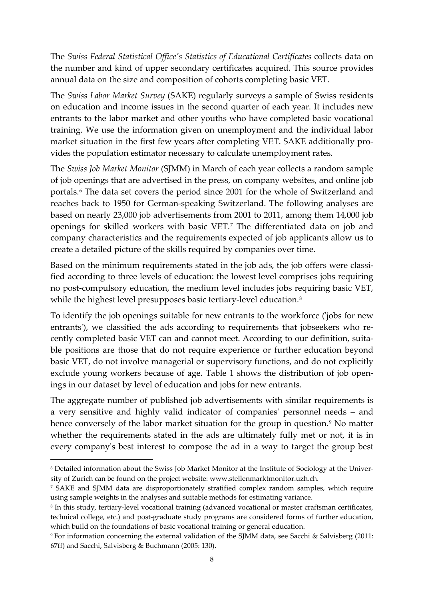The *Swiss Federal Statistical Office's Statistics of Educational Certificates* collects data on the number and kind of upper secondary certificates acquired. This source provides annual data on the size and composition of cohorts completing basic VET.

The *Swiss Labor Market Survey* (SAKE) regularly surveys a sample of Swiss residents on education and income issues in the second quarter of each year. It includes new entrants to the labor market and other youths who have completed basic vocational training. We use the information given on unemployment and the individual labor market situation in the first few years after completing VET. SAKE additionally provides the population estimator necessary to calculate unemployment rates.

The *Swiss Job Market Monitor* (SJMM) in March of each year collects a random sample of job openings that are advertised in the press, on company websites, and online job portals[.6](#page-8-0) The data set covers the period since 2001 for the whole of Switzerland and reaches back to 1950 for German-speaking Switzerland. The following analyses are based on nearly 23,000 job advertisements from 2001 to 2011, among them 14,000 job openings for skilled workers with basic VET.[7](#page-8-1) The differentiated data on job and company characteristics and the requirements expected of job applicants allow us to create a detailed picture of the skills required by companies over time.

Based on the minimum requirements stated in the job ads, the job offers were classified according to three levels of education: the lowest level comprises jobs requiring no post-compulsory education, the medium level includes jobs requiring basic VET, while the highest level presupposes basic tertiary-level education.<sup>[8](#page-8-2)</sup>

To identify the job openings suitable for new entrants to the workforce ('jobs for new entrants'), we classified the ads according to requirements that jobseekers who recently completed basic VET can and cannot meet. According to our definition, suitable positions are those that do not require experience or further education beyond basic VET, do not involve managerial or supervisory functions, and do not explicitly exclude young workers because of age. Table 1 shows the distribution of job openings in our dataset by level of education and jobs for new entrants.

The aggregate number of published job advertisements with similar requirements is a very sensitive and highly valid indicator of companies' personnel needs – and hence conversely of the labor market situation for the group in question.<sup>[9](#page-8-3)</sup> No matter whether the requirements stated in the ads are ultimately fully met or not, it is in every company's best interest to compose the ad in a way to target the group best

<span id="page-8-0"></span><sup>6</sup> Detailed information about the Swiss Job Market Monitor at the Institute of Sociology at the University of Zurich can be found on the project website: www.stellenmarktmonitor.uzh.ch.

<span id="page-8-1"></span><sup>7</sup> SAKE and SJMM data are disproportionately stratified complex random samples, which require using sample weights in the analyses and suitable methods for estimating variance.

<span id="page-8-2"></span><sup>8</sup> In this study, tertiary-level vocational training (advanced vocational or master craftsman certificates, technical college, etc.) and post-graduate study programs are considered forms of further education, which build on the foundations of basic vocational training or general education.

<span id="page-8-3"></span><sup>9</sup> For information concerning the external validation of the SJMM data, see Sacchi & Salvisberg (2011: 67ff) and Sacchi, Salvisberg & Buchmann (2005: 130).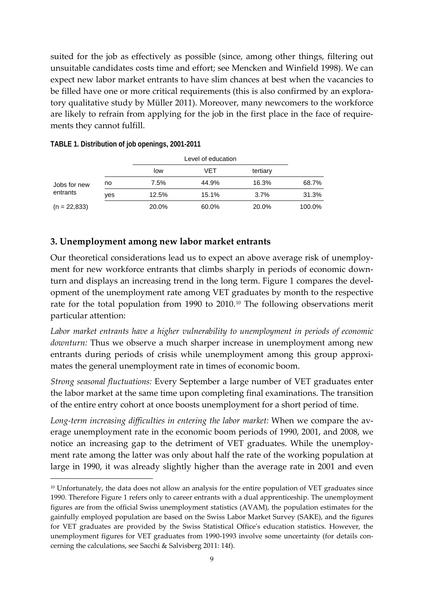suited for the job as effectively as possible (since, among other things, filtering out unsuitable candidates costs time and effort; see Mencken and Winfield 1998). We can expect new labor market entrants to have slim chances at best when the vacancies to be filled have one or more critical requirements (this is also confirmed by an exploratory qualitative study by Müller 2011). Moreover, many newcomers to the workforce are likely to refrain from applying for the job in the first place in the face of requirements they cannot fulfill.

|                          |     | low   | VET   | tertiary |        |
|--------------------------|-----|-------|-------|----------|--------|
| Jobs for new<br>entrants | no  | 7.5%  | 44.9% | 16.3%    | 68.7%  |
|                          | ves | 12.5% | 15.1% | 3.7%     | 31.3%  |
| $(n = 22,833)$           |     | 20.0% | 60.0% | 20.0%    | 100.0% |

| TABLE 1. Distribution of job openings, 2001-2011 |  |  |
|--------------------------------------------------|--|--|
|                                                  |  |  |

-

### **3. Unemployment among new labor market entrants**

Our theoretical considerations lead us to expect an above average risk of unemployment for new workforce entrants that climbs sharply in periods of economic downturn and displays an increasing trend in the long term. Figure 1 compares the development of the unemployment rate among VET graduates by month to the respective rate for the total population from 1990 to 20[10](#page-9-0).<sup>10</sup> The following observations merit particular attention:

*Labor market entrants have a higher vulnerability to unemployment in periods of economic downturn:* Thus we observe a much sharper increase in unemployment among new entrants during periods of crisis while unemployment among this group approximates the general unemployment rate in times of economic boom.

*Strong seasonal fluctuations:* Every September a large number of VET graduates enter the labor market at the same time upon completing final examinations. The transition of the entire entry cohort at once boosts unemployment for a short period of time.

*Long-term increasing difficulties in entering the labor market:* When we compare the average unemployment rate in the economic boom periods of 1990, 2001, and 2008, we notice an increasing gap to the detriment of VET graduates. While the unemployment rate among the latter was only about half the rate of the working population at large in 1990, it was already slightly higher than the average rate in 2001 and even

<span id="page-9-0"></span><sup>&</sup>lt;sup>10</sup> Unfortunately, the data does not allow an analysis for the entire population of VET graduates since 1990. Therefore Figure 1 refers only to career entrants with a dual apprenticeship. The unemployment figures are from the official Swiss unemployment statistics (AVAM), the population estimates for the gainfully employed population are based on the Swiss Labor Market Survey (SAKE), and the figures for VET graduates are provided by the Swiss Statistical Office's education statistics. However, the unemployment figures for VET graduates from 1990-1993 involve some uncertainty (for details concerning the calculations, see Sacchi & Salvisberg 2011: 14f).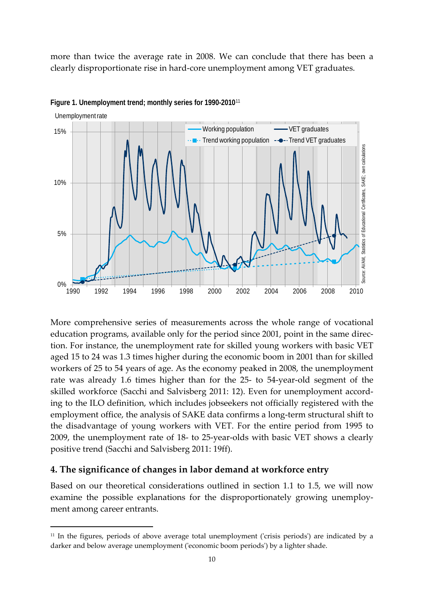more than twice the average rate in 2008. We can conclude that there has been a clearly disproportionate rise in hard-core unemployment among VET graduates.



**Figure 1. Unemployment trend; monthly series for 1990-2010**[11](#page-10-0)

More comprehensive series of measurements across the whole range of vocational education programs, available only for the period since 2001, point in the same direction. For instance, the unemployment rate for skilled young workers with basic VET aged 15 to 24 was 1.3 times higher during the economic boom in 2001 than for skilled workers of 25 to 54 years of age. As the economy peaked in 2008, the unemployment rate was already 1.6 times higher than for the 25- to 54-year-old segment of the skilled workforce (Sacchi and Salvisberg 2011: 12). Even for unemployment according to the ILO definition, which includes jobseekers not officially registered with the employment office, the analysis of SAKE data confirms a long-term structural shift to the disadvantage of young workers with VET. For the entire period from 1995 to 2009, the unemployment rate of 18- to 25-year-olds with basic VET shows a clearly positive trend (Sacchi and Salvisberg 2011: 19ff).

### **4. The significance of changes in labor demand at workforce entry**

-

Based on our theoretical considerations outlined in section 1.1 to 1.5, we will now examine the possible explanations for the disproportionately growing unemployment among career entrants.

<span id="page-10-0"></span><sup>11</sup> In the figures, periods of above average total unemployment ('crisis periods') are indicated by a darker and below average unemployment ('economic boom periods') by a lighter shade.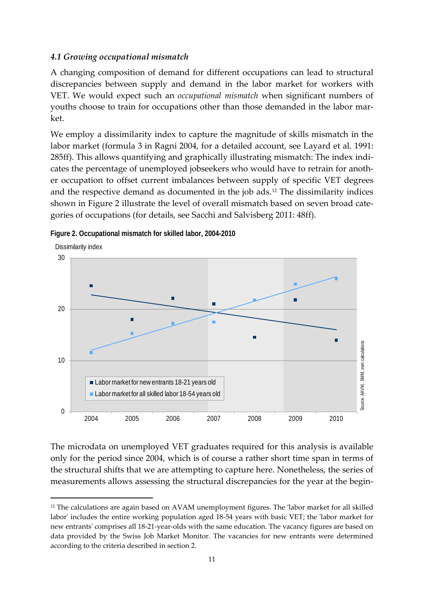## *4.1 Growing occupational mismatch*

A changing composition of demand for different occupations can lead to structural discrepancies between supply and demand in the labor market for workers with VET. We would expect such an *occupational mismatch* when significant numbers of youths choose to train for occupations other than those demanded in the labor market.

We employ a dissimilarity index to capture the magnitude of skills mismatch in the labor market (formula 3 in Ragni 2004, for a detailed account, see Layard et al. 1991: 285ff). This allows quantifying and graphically illustrating mismatch: The index indicates the percentage of unemployed jobseekers who would have to retrain for another occupation to offset current imbalances between supply of specific VET degrees and the respective demand as documented in the job ads.[12](#page-11-0) The dissimilarity indices shown in Figure 2 illustrate the level of overall mismatch based on seven broad categories of occupations (for details, see Sacchi and Salvisberg 2011: 48ff).



**Figure 2. Occupational mismatch for skilled labor, 2004-2010**

-

The microdata on unemployed VET graduates required for this analysis is available only for the period since 2004, which is of course a rather short time span in terms of the structural shifts that we are attempting to capture here. Nonetheless, the series of measurements allows assessing the structural discrepancies for the year at the begin-

<span id="page-11-0"></span><sup>&</sup>lt;sup>12</sup> The calculations are again based on AVAM unemployment figures. The 'labor market for all skilled labor' includes the entire working population aged 18-54 years with basic VET; the 'labor market for new entrants' comprises all 18-21-year-olds with the same education. The vacancy figures are based on data provided by the Swiss Job Market Monitor. The vacancies for new entrants were determined according to the criteria described in section 2.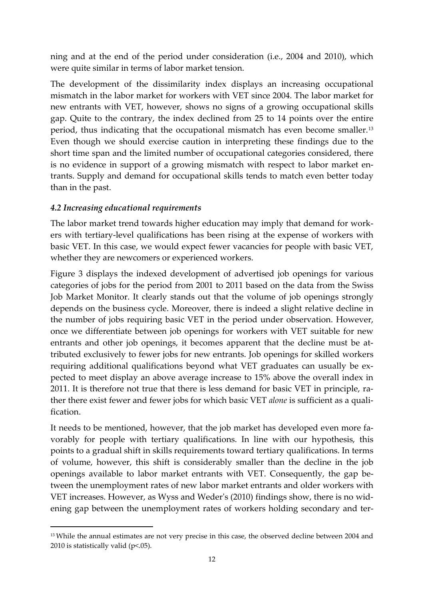ning and at the end of the period under consideration (i.e., 2004 and 2010), which were quite similar in terms of labor market tension.

The development of the dissimilarity index displays an increasing occupational mismatch in the labor market for workers with VET since 2004. The labor market for new entrants with VET, however, shows no signs of a growing occupational skills gap. Quite to the contrary, the index declined from 25 to 14 points over the entire period, thus indicating that the occupational mismatch has even become smaller.[13](#page-12-0) Even though we should exercise caution in interpreting these findings due to the short time span and the limited number of occupational categories considered, there is no evidence in support of a growing mismatch with respect to labor market entrants. Supply and demand for occupational skills tends to match even better today than in the past.

## *4.2 Increasing educational requirements*

-

The labor market trend towards higher education may imply that demand for workers with tertiary-level qualifications has been rising at the expense of workers with basic VET. In this case, we would expect fewer vacancies for people with basic VET, whether they are newcomers or experienced workers.

Figure 3 displays the indexed development of advertised job openings for various categories of jobs for the period from 2001 to 2011 based on the data from the Swiss Job Market Monitor. It clearly stands out that the volume of job openings strongly depends on the business cycle. Moreover, there is indeed a slight relative decline in the number of jobs requiring basic VET in the period under observation. However, once we differentiate between job openings for workers with VET suitable for new entrants and other job openings, it becomes apparent that the decline must be attributed exclusively to fewer jobs for new entrants. Job openings for skilled workers requiring additional qualifications beyond what VET graduates can usually be expected to meet display an above average increase to 15% above the overall index in 2011. It is therefore not true that there is less demand for basic VET in principle, rather there exist fewer and fewer jobs for which basic VET *alone* is sufficient as a qualification.

It needs to be mentioned, however, that the job market has developed even more favorably for people with tertiary qualifications. In line with our hypothesis, this points to a gradual shift in skills requirements toward tertiary qualifications. In terms of volume, however, this shift is considerably smaller than the decline in the job openings available to labor market entrants with VET. Consequently, the gap between the unemployment rates of new labor market entrants and older workers with VET increases. However, as Wyss and Weder's (2010) findings show, there is no widening gap between the unemployment rates of workers holding secondary and ter-

<span id="page-12-0"></span><sup>&</sup>lt;sup>13</sup> While the annual estimates are not very precise in this case, the observed decline between 2004 and 2010 is statistically valid (p<.05).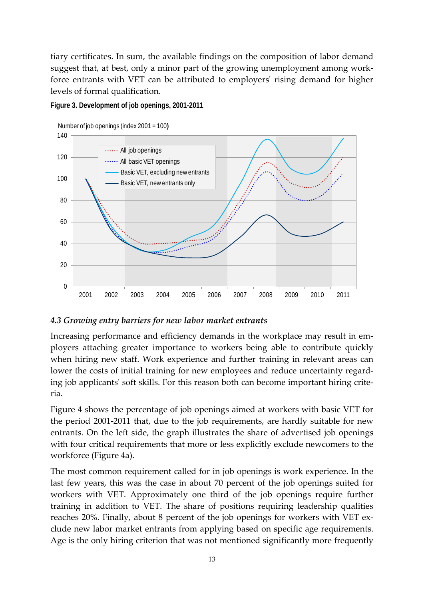tiary certificates. In sum, the available findings on the composition of labor demand suggest that, at best, only a minor part of the growing unemployment among workforce entrants with VET can be attributed to employers' rising demand for higher levels of formal qualification.





### *4.3 Growing entry barriers for new labor market entrants*

Increasing performance and efficiency demands in the workplace may result in employers attaching greater importance to workers being able to contribute quickly when hiring new staff. Work experience and further training in relevant areas can lower the costs of initial training for new employees and reduce uncertainty regarding job applicants' soft skills. For this reason both can become important hiring criteria.

Figure 4 shows the percentage of job openings aimed at workers with basic VET for the period 2001-2011 that, due to the job requirements, are hardly suitable for new entrants. On the left side, the graph illustrates the share of advertised job openings with four critical requirements that more or less explicitly exclude newcomers to the workforce (Figure 4a).

The most common requirement called for in job openings is work experience. In the last few years, this was the case in about 70 percent of the job openings suited for workers with VET. Approximately one third of the job openings require further training in addition to VET. The share of positions requiring leadership qualities reaches 20%. Finally, about 8 percent of the job openings for workers with VET exclude new labor market entrants from applying based on specific age requirements. Age is the only hiring criterion that was not mentioned significantly more frequently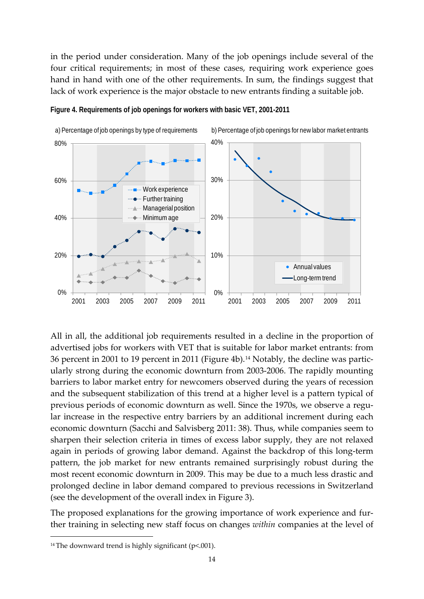in the period under consideration. Many of the job openings include several of the four critical requirements; in most of these cases, requiring work experience goes hand in hand with one of the other requirements. In sum, the findings suggest that lack of work experience is the major obstacle to new entrants finding a suitable job.



**Figure 4. Requirements of job openings for workers with basic VET, 2001-2011**

All in all, the additional job requirements resulted in a decline in the proportion of advertised jobs for workers with VET that is suitable for labor market entrants: from 36 percent in 2001 to 19 percent in 2011 (Figure 4b).<sup>[14](#page-14-0)</sup> Notably, the decline was particularly strong during the economic downturn from 2003-2006. The rapidly mounting barriers to labor market entry for newcomers observed during the years of recession and the subsequent stabilization of this trend at a higher level is a pattern typical of previous periods of economic downturn as well. Since the 1970s, we observe a regular increase in the respective entry barriers by an additional increment during each economic downturn (Sacchi and Salvisberg 2011: 38). Thus, while companies seem to sharpen their selection criteria in times of excess labor supply, they are not relaxed again in periods of growing labor demand. Against the backdrop of this long-term pattern, the job market for new entrants remained surprisingly robust during the most recent economic downturn in 2009. This may be due to a much less drastic and prolonged decline in labor demand compared to previous recessions in Switzerland (see the development of the overall index in Figure 3).

The proposed explanations for the growing importance of work experience and further training in selecting new staff focus on changes *within* companies at the level of

<span id="page-14-0"></span><sup>&</sup>lt;sup>14</sup> The downward trend is highly significant ( $p$ <.001).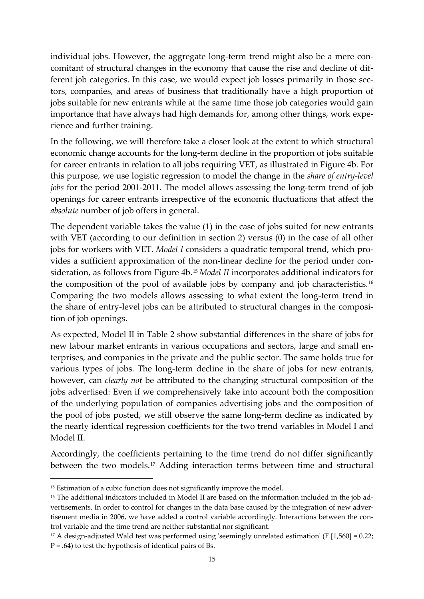individual jobs. However, the aggregate long-term trend might also be a mere concomitant of structural changes in the economy that cause the rise and decline of different job categories. In this case, we would expect job losses primarily in those sectors, companies, and areas of business that traditionally have a high proportion of jobs suitable for new entrants while at the same time those job categories would gain importance that have always had high demands for, among other things, work experience and further training.

In the following, we will therefore take a closer look at the extent to which structural economic change accounts for the long-term decline in the proportion of jobs suitable for career entrants in relation to all jobs requiring VET, as illustrated in Figure 4b. For this purpose, we use logistic regression to model the change in the *share of entry-level jobs* for the period 2001-2011. The model allows assessing the long-term trend of job openings for career entrants irrespective of the economic fluctuations that affect the *absolute* number of job offers in general.

The dependent variable takes the value (1) in the case of jobs suited for new entrants with VET (according to our definition in section 2) versus (0) in the case of all other jobs for workers with VET. *Model I* considers a quadratic temporal trend, which provides a sufficient approximation of the non-linear decline for the period under consideration, as follows from Figure 4b.[15](#page-15-0) *Model II* incorporates additional indicators for the composition of the pool of available jobs by company and job characteristics.[16](#page-15-1) Comparing the two models allows assessing to what extent the long-term trend in the share of entry-level jobs can be attributed to structural changes in the composition of job openings.

As expected, Model II in Table 2 show substantial differences in the share of jobs for new labour market entrants in various occupations and sectors, large and small enterprises, and companies in the private and the public sector. The same holds true for various types of jobs. The long-term decline in the share of jobs for new entrants, however, can *clearly not* be attributed to the changing structural composition of the jobs advertised: Even if we comprehensively take into account both the composition of the underlying population of companies advertising jobs and the composition of the pool of jobs posted, we still observe the same long-term decline as indicated by the nearly identical regression coefficients for the two trend variables in Model I and Model II.

Accordingly, the coefficients pertaining to the time trend do not differ significantly between the two models.<sup>[17](#page-15-2)</sup> Adding interaction terms between time and structural

<span id="page-15-0"></span><sup>&</sup>lt;sup>15</sup> Estimation of a cubic function does not significantly improve the model.

<span id="page-15-1"></span><sup>&</sup>lt;sup>16</sup> The additional indicators included in Model II are based on the information included in the job advertisements. In order to control for changes in the data base caused by the integration of new advertisement media in 2006, we have added a control variable accordingly. Interactions between the control variable and the time trend are neither substantial nor significant.

<span id="page-15-2"></span><sup>&</sup>lt;sup>17</sup> A design-adjusted Wald test was performed using 'seemingly unrelated estimation' (F  $[1,560] = 0.22$ ;  $P = .64$ ) to test the hypothesis of identical pairs of Bs.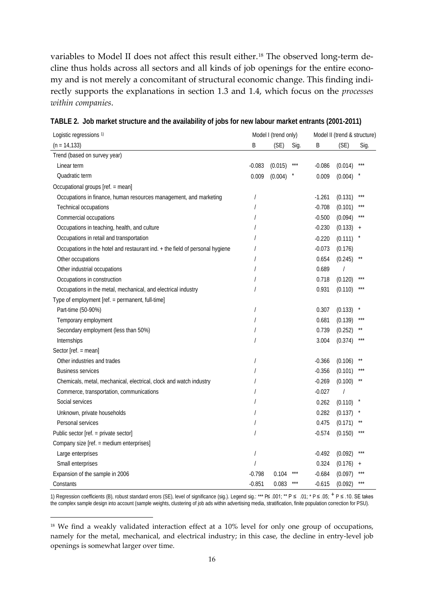variables to Model II does not affect this result either.<sup>[18](#page-16-0)</sup> The observed long-term decline thus holds across all sectors and all kinds of job openings for the entire economy and is not merely a concomitant of structural economic change. This finding indirectly supports the explanations in section 1.3 and 1.4, which focus on the *processes within companies*.

| Logistic regressions <sup>1)</sup>                                           |          | Model I (trend only) |      |          | Model II (trend & structure) |           |  |
|------------------------------------------------------------------------------|----------|----------------------|------|----------|------------------------------|-----------|--|
| $(n = 14, 133)$                                                              | B        | (SE)                 | Sig. | Β        | (SE)                         | Sig.      |  |
| Trend (based on survey year)                                                 |          |                      |      |          |                              |           |  |
| Linear term                                                                  | $-0.083$ | (0.015)              |      | $-0.086$ | (0.014)                      |           |  |
| Quadratic term                                                               | 0.009    | (0.004)              |      | 0.009    | (0.004)                      |           |  |
| Occupational groups [ref. = mean]                                            |          |                      |      |          |                              |           |  |
| Occupations in finance, human resources management, and marketing            |          |                      |      | $-1.261$ | (0.131)                      | ***       |  |
| Technical occupations                                                        |          |                      |      | $-0.708$ | (0.101)                      |           |  |
| Commercial occupations                                                       |          |                      |      | $-0.500$ | (0.094)                      |           |  |
| Occupations in teaching, health, and culture                                 |          |                      |      | $-0.230$ | (0.133)                      | $+$       |  |
| Occupations in retail and transportation                                     |          |                      |      | $-0.220$ | (0.111)                      |           |  |
| Occupations in the hotel and restaurant ind. + the field of personal hygiene |          |                      |      | $-0.073$ | (0.176)                      |           |  |
| Other occupations                                                            |          |                      |      | 0.654    | (0.245)                      |           |  |
| Other industrial occupations                                                 |          |                      |      | 0.689    | $\overline{1}$               |           |  |
| Occupations in construction                                                  |          |                      |      | 0.718    | (0.120)                      | $***$     |  |
| Occupations in the metal, mechanical, and electrical industry                |          |                      |      | 0.931    | (0.110)                      |           |  |
| Type of employment [ref. = permanent, full-time]                             |          |                      |      |          |                              |           |  |
| Part-time (50-90%)                                                           |          |                      |      | 0.307    | (0.133)                      |           |  |
| Temporary employment                                                         |          |                      |      | 0.681    | (0.139)                      |           |  |
| Secondary employment (less than 50%)                                         |          |                      |      | 0.739    | (0.252)                      |           |  |
| Internships                                                                  |          |                      |      | 3.004    | (0.374)                      |           |  |
| Sector [ref. = mean]                                                         |          |                      |      |          |                              |           |  |
| Other industries and trades                                                  |          |                      |      | $-0.366$ | (0.106)                      |           |  |
| <b>Business services</b>                                                     |          |                      |      | $-0.356$ | (0.101)                      |           |  |
| Chemicals, metal, mechanical, electrical, clock and watch industry           |          |                      |      | $-0.269$ | (0.100)                      |           |  |
| Commerce, transportation, communications                                     |          |                      |      | $-0.027$ | $\overline{1}$               |           |  |
| Social services                                                              |          |                      |      | 0.262    | (0.110)                      |           |  |
| Unknown, private households                                                  |          |                      |      | 0.282    | (0.137)                      |           |  |
| Personal services                                                            |          |                      |      | 0.475    | (0.171)                      |           |  |
| Public sector [ref. = private sector]                                        |          |                      |      | $-0.574$ | (0.150)                      |           |  |
| Company size [ref. = medium enterprises]                                     |          |                      |      |          |                              |           |  |
| Large enterprises                                                            |          |                      |      | $-0.492$ | (0.092)                      | ***       |  |
| Small enterprises                                                            |          |                      |      | 0.324    | (0.176)                      | $\ddot{}$ |  |
| Expansion of the sample in 2006                                              | $-0.798$ | 0.104                |      | $-0.684$ | (0.097)                      |           |  |
| Constants                                                                    | $-0.851$ | 0.083                |      | $-0.615$ | (0.092)                      | ***       |  |

**TABLE 2. Job market structure and the availability of jobs for new labour market entrants (2001-2011)**

1) Regression coefficients (B), robust standard errors (SE), level of significance (sig.). Legend sig.: \*\*\* P≤ .001; \*\* P≤ .01; \* P≤ .05; + P ≤ .10. SE takes the complex sample design into account (sample weights, clustering of job ads within advertising media, stratification, finite population correction for PSU).

<span id="page-16-0"></span><sup>&</sup>lt;sup>18</sup> We find a weakly validated interaction effect at a 10% level for only one group of occupations, namely for the metal, mechanical, and electrical industry; in this case, the decline in entry-level job openings is somewhat larger over time.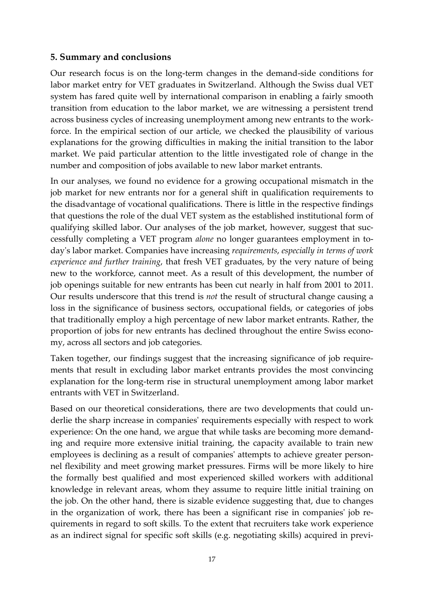## **5. Summary and conclusions**

Our research focus is on the long-term changes in the demand-side conditions for labor market entry for VET graduates in Switzerland. Although the Swiss dual VET system has fared quite well by international comparison in enabling a fairly smooth transition from education to the labor market, we are witnessing a persistent trend across business cycles of increasing unemployment among new entrants to the workforce. In the empirical section of our article, we checked the plausibility of various explanations for the growing difficulties in making the initial transition to the labor market. We paid particular attention to the little investigated role of change in the number and composition of jobs available to new labor market entrants.

In our analyses, we found no evidence for a growing occupational mismatch in the job market for new entrants nor for a general shift in qualification requirements to the disadvantage of vocational qualifications. There is little in the respective findings that questions the role of the dual VET system as the established institutional form of qualifying skilled labor. Our analyses of the job market, however, suggest that successfully completing a VET program *alone* no longer guarantees employment in today's labor market. Companies have increasing *requirements*, *especially in terms of work experience and further training*, that fresh VET graduates, by the very nature of being new to the workforce, cannot meet. As a result of this development, the number of job openings suitable for new entrants has been cut nearly in half from 2001 to 2011. Our results underscore that this trend is *not* the result of structural change causing a loss in the significance of business sectors, occupational fields, or categories of jobs that traditionally employ a high percentage of new labor market entrants. Rather, the proportion of jobs for new entrants has declined throughout the entire Swiss economy, across all sectors and job categories.

Taken together, our findings suggest that the increasing significance of job requirements that result in excluding labor market entrants provides the most convincing explanation for the long-term rise in structural unemployment among labor market entrants with VET in Switzerland.

Based on our theoretical considerations, there are two developments that could underlie the sharp increase in companies' requirements especially with respect to work experience: On the one hand, we argue that while tasks are becoming more demanding and require more extensive initial training, the capacity available to train new employees is declining as a result of companies' attempts to achieve greater personnel flexibility and meet growing market pressures. Firms will be more likely to hire the formally best qualified and most experienced skilled workers with additional knowledge in relevant areas, whom they assume to require little initial training on the job. On the other hand, there is sizable evidence suggesting that, due to changes in the organization of work, there has been a significant rise in companies' job requirements in regard to soft skills. To the extent that recruiters take work experience as an indirect signal for specific soft skills (e.g. negotiating skills) acquired in previ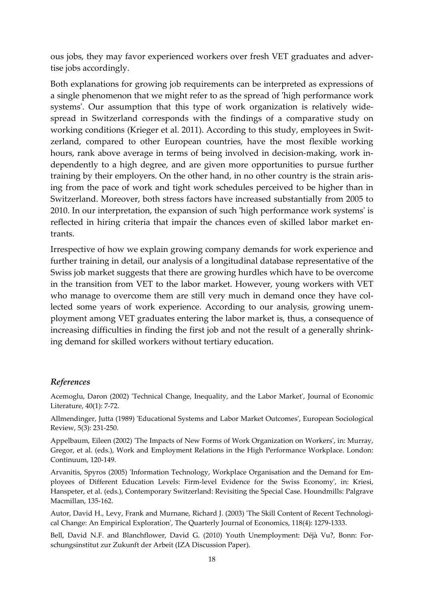ous jobs, they may favor experienced workers over fresh VET graduates and advertise jobs accordingly.

Both explanations for growing job requirements can be interpreted as expressions of a single phenomenon that we might refer to as the spread of 'high performance work systems'. Our assumption that this type of work organization is relatively widespread in Switzerland corresponds with the findings of a comparative study on working conditions (Krieger et al. 2011). According to this study, employees in Switzerland, compared to other European countries, have the most flexible working hours, rank above average in terms of being involved in decision-making, work independently to a high degree, and are given more opportunities to pursue further training by their employers. On the other hand, in no other country is the strain arising from the pace of work and tight work schedules perceived to be higher than in Switzerland. Moreover, both stress factors have increased substantially from 2005 to 2010. In our interpretation, the expansion of such 'high performance work systems' is reflected in hiring criteria that impair the chances even of skilled labor market entrants.

Irrespective of how we explain growing company demands for work experience and further training in detail, our analysis of a longitudinal database representative of the Swiss job market suggests that there are growing hurdles which have to be overcome in the transition from VET to the labor market. However, young workers with VET who manage to overcome them are still very much in demand once they have collected some years of work experience. According to our analysis, growing unemployment among VET graduates entering the labor market is, thus, a consequence of increasing difficulties in finding the first job and not the result of a generally shrinking demand for skilled workers without tertiary education.

#### *References*

Acemoglu, Daron (2002) 'Technical Change, Inequality, and the Labor Market', Journal of Economic Literature, 40(1): 7-72.

Allmendinger, Jutta (1989) 'Educational Systems and Labor Market Outcomes', European Sociological Review, 5(3): 231-250.

Appelbaum, Eileen (2002) 'The Impacts of New Forms of Work Organization on Workers', in: Murray, Gregor, et al. (eds.), Work and Employment Relations in the High Performance Workplace. London: Continuum, 120-149.

Arvanitis, Spyros (2005) 'Information Technology, Workplace Organisation and the Demand for Employees of Different Education Levels: Firm-level Evidence for the Swiss Economy', in: Kriesi, Hanspeter, et al. (eds.), Contemporary Switzerland: Revisiting the Special Case. Houndmills: Palgrave Macmillan, 135-162.

Autor, David H., Levy, Frank and Murnane, Richard J. (2003) 'The Skill Content of Recent Technological Change: An Empirical Exploration', The Quarterly Journal of Economics, 118(4): 1279-1333.

Bell, David N.F. and Blanchflower, David G. (2010) Youth Unemployment: Déjà Vu?, Bonn: Forschungsinstitut zur Zukunft der Arbeit (IZA Discussion Paper).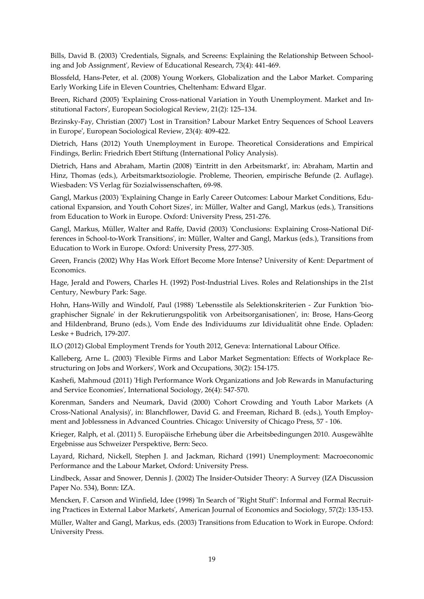Bills, David B. (2003) 'Credentials, Signals, and Screens: Explaining the Relationship Between Schooling and Job Assignment', Review of Educational Research, 73(4): 441-469.

Blossfeld, Hans-Peter, et al. (2008) Young Workers, Globalization and the Labor Market. Comparing Early Working Life in Eleven Countries, Cheltenham: Edward Elgar.

Breen, Richard (2005) 'Explaining Cross-national Variation in Youth Unemployment. Market and Institutional Factors', European Sociological Review, 21(2): 125–134.

Brzinsky-Fay, Christian (2007) 'Lost in Transition? Labour Market Entry Sequences of School Leavers in Europe', European Sociological Review, 23(4): 409-422.

Dietrich, Hans (2012) Youth Unemployment in Europe. Theoretical Considerations and Empirical Findings, Berlin: Friedrich Ebert Stiftung (International Policy Analysis).

Dietrich, Hans and Abraham, Martin (2008) 'Eintritt in den Arbeitsmarkt', in: Abraham, Martin and Hinz, Thomas (eds.), Arbeitsmarktsoziologie. Probleme, Theorien, empirische Befunde (2. Auflage). Wiesbaden: VS Verlag für Sozialwissenschaften, 69-98.

Gangl, Markus (2003) 'Explaining Change in Early Career Outcomes: Labour Market Conditions, Educational Expansion, and Youth Cohort Sizes', in: Müller, Walter and Gangl, Markus (eds.), Transitions from Education to Work in Europe. Oxford: University Press, 251-276.

Gangl, Markus, Müller, Walter and Raffe, David (2003) 'Conclusions: Explaining Cross-National Differences in School-to-Work Transitions', in: Müller, Walter and Gangl, Markus (eds.), Transitions from Education to Work in Europe. Oxford: University Press, 277-305.

Green, Francis (2002) Why Has Work Effort Become More Intense? University of Kent: Department of Economics.

Hage, Jerald and Powers, Charles H. (1992) Post-Industrial Lives. Roles and Relationships in the 21st Century, Newbury Park: Sage.

Hohn, Hans-Willy and Windolf, Paul (1988) 'Lebensstile als Selektionskriterien - Zur Funktion 'biographischer Signale' in der Rekrutierungspolitik von Arbeitsorganisationen', in: Brose, Hans-Georg and Hildenbrand, Bruno (eds.), Vom Ende des Individuums zur Idividualität ohne Ende. Opladen: Leske + Budrich, 179-207.

ILO (2012) Global Employment Trends for Youth 2012, Geneva: International Labour Office.

Kalleberg, Arne L. (2003) 'Flexible Firms and Labor Market Segmentation: Effects of Workplace Restructuring on Jobs and Workers', Work and Occupations, 30(2): 154-175.

Kashefi, Mahmoud (2011) 'High Performance Work Organizations and Job Rewards in Manufacturing and Service Economies', International Sociology, 26(4): 547-570.

Korenman, Sanders and Neumark, David (2000) 'Cohort Crowding and Youth Labor Markets (A Cross-National Analysis)', in: Blanchflower, David G. and Freeman, Richard B. (eds.), Youth Employment and Joblessness in Advanced Countries. Chicago: University of Chicago Press, 57 - 106.

Krieger, Ralph, et al. (2011) 5. Europäische Erhebung über die Arbeitsbedingungen 2010. Ausgewählte Ergebnisse aus Schweizer Perspektive, Bern: Seco.

Layard, Richard, Nickell, Stephen J. and Jackman, Richard (1991) Unemployment: Macroeconomic Performance and the Labour Market, Oxford: University Press.

Lindbeck, Assar and Snower, Dennis J. (2002) The Insider-Outsider Theory: A Survey (IZA Discussion Paper No. 534), Bonn: IZA.

Mencken, F. Carson and Winfield, Idee (1998) 'In Search of "Right Stuff": Informal and Formal Recruiting Practices in External Labor Markets', American Journal of Economics and Sociology, 57(2): 135-153.

Müller, Walter and Gangl, Markus, eds. (2003) Transitions from Education to Work in Europe. Oxford: University Press.